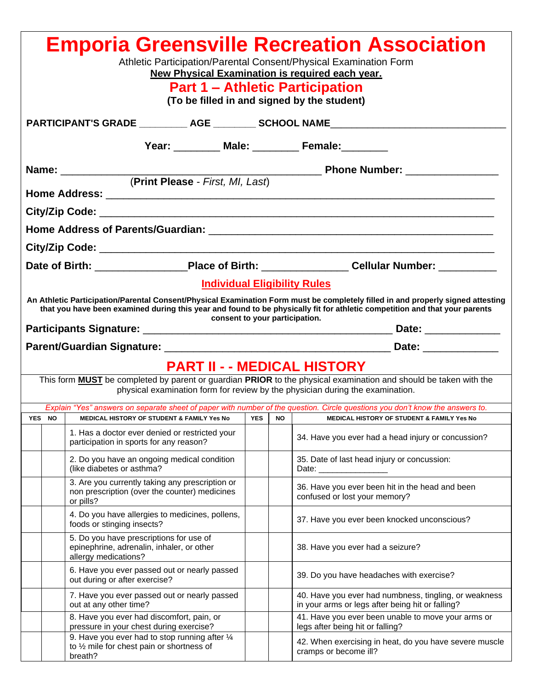| <b>Emporia Greensville Recreation Association</b><br>Athletic Participation/Parental Consent/Physical Examination Form<br>New Physical Examination is required each year.<br><b>Part 1 – Athletic Participation</b><br>(To be filled in and signed by the student)                                                                     |                                                                                                                                                                                                          |                                                                                                               |  |  |                                                                                                                               |  |  |  |
|----------------------------------------------------------------------------------------------------------------------------------------------------------------------------------------------------------------------------------------------------------------------------------------------------------------------------------------|----------------------------------------------------------------------------------------------------------------------------------------------------------------------------------------------------------|---------------------------------------------------------------------------------------------------------------|--|--|-------------------------------------------------------------------------------------------------------------------------------|--|--|--|
|                                                                                                                                                                                                                                                                                                                                        | PARTICIPANT'S GRADE __________ AGE ________ SCHOOL NAME ________________________                                                                                                                         |                                                                                                               |  |  |                                                                                                                               |  |  |  |
| Year: _________ Male: _________ Female: _______                                                                                                                                                                                                                                                                                        |                                                                                                                                                                                                          |                                                                                                               |  |  |                                                                                                                               |  |  |  |
|                                                                                                                                                                                                                                                                                                                                        | Name: _________                                                                                                                                                                                          |                                                                                                               |  |  |                                                                                                                               |  |  |  |
| (Print Please - First, MI, Last)                                                                                                                                                                                                                                                                                                       |                                                                                                                                                                                                          |                                                                                                               |  |  |                                                                                                                               |  |  |  |
|                                                                                                                                                                                                                                                                                                                                        |                                                                                                                                                                                                          |                                                                                                               |  |  |                                                                                                                               |  |  |  |
|                                                                                                                                                                                                                                                                                                                                        |                                                                                                                                                                                                          |                                                                                                               |  |  |                                                                                                                               |  |  |  |
|                                                                                                                                                                                                                                                                                                                                        |                                                                                                                                                                                                          |                                                                                                               |  |  |                                                                                                                               |  |  |  |
|                                                                                                                                                                                                                                                                                                                                        |                                                                                                                                                                                                          |                                                                                                               |  |  | Date of Birth: ____________________Place of Birth: ___________________Cellular Number: ____________                           |  |  |  |
| <b>Individual Eligibility Rules</b><br>An Athletic Participation/Parental Consent/Physical Examination Form must be completely filled in and properly signed attesting<br>that you have been examined during this year and found to be physically fit for athletic competition and that your parents<br>consent to your participation. |                                                                                                                                                                                                          |                                                                                                               |  |  |                                                                                                                               |  |  |  |
|                                                                                                                                                                                                                                                                                                                                        |                                                                                                                                                                                                          |                                                                                                               |  |  |                                                                                                                               |  |  |  |
|                                                                                                                                                                                                                                                                                                                                        | <b>PART II - - MEDICAL HISTORY</b>                                                                                                                                                                       |                                                                                                               |  |  |                                                                                                                               |  |  |  |
|                                                                                                                                                                                                                                                                                                                                        | This form <b>MUST</b> be completed by parent or guardian PRIOR to the physical examination and should be taken with the<br>physical examination form for review by the physician during the examination. |                                                                                                               |  |  |                                                                                                                               |  |  |  |
|                                                                                                                                                                                                                                                                                                                                        |                                                                                                                                                                                                          |                                                                                                               |  |  | Explain "Yes" answers on separate sheet of paper with number of the question. Circle questions you don't know the answers to. |  |  |  |
|                                                                                                                                                                                                                                                                                                                                        | YES NO I                                                                                                                                                                                                 | MEDICAL HISTORY OF STUDENT & FAMILY Yes No                                                                    |  |  | YES   NO  <br>MEDICAL HISTORY OF STUDENT & FAMILY Yes No                                                                      |  |  |  |
|                                                                                                                                                                                                                                                                                                                                        |                                                                                                                                                                                                          | 1. Has a doctor ever denied or restricted your<br>participation in sports for any reason?                     |  |  | 34. Have you ever had a head injury or concussion?                                                                            |  |  |  |
|                                                                                                                                                                                                                                                                                                                                        |                                                                                                                                                                                                          | 2. Do you have an ongoing medical condition<br>(like diabetes or asthma?                                      |  |  | 35. Date of last head injury or concussion:<br>Date: _________________                                                        |  |  |  |
|                                                                                                                                                                                                                                                                                                                                        |                                                                                                                                                                                                          | 3. Are you currently taking any prescription or<br>non prescription (over the counter) medicines<br>or pills? |  |  | 36. Have you ever been hit in the head and been<br>confused or lost your memory?                                              |  |  |  |
|                                                                                                                                                                                                                                                                                                                                        |                                                                                                                                                                                                          | 4. Do you have allergies to medicines, pollens,<br>foods or stinging insects?                                 |  |  | 37. Have you ever been knocked unconscious?                                                                                   |  |  |  |
|                                                                                                                                                                                                                                                                                                                                        |                                                                                                                                                                                                          | 5. Do you have prescriptions for use of<br>epinephrine, adrenalin, inhaler, or other<br>allergy medications?  |  |  | 38. Have you ever had a seizure?                                                                                              |  |  |  |
|                                                                                                                                                                                                                                                                                                                                        |                                                                                                                                                                                                          | 6. Have you ever passed out or nearly passed<br>out during or after exercise?                                 |  |  | 39. Do you have headaches with exercise?                                                                                      |  |  |  |
|                                                                                                                                                                                                                                                                                                                                        |                                                                                                                                                                                                          | 7. Have you ever passed out or nearly passed<br>out at any other time?                                        |  |  | 40. Have you ever had numbness, tingling, or weakness<br>in your arms or legs after being hit or falling?                     |  |  |  |
|                                                                                                                                                                                                                                                                                                                                        |                                                                                                                                                                                                          | 8. Have you ever had discomfort, pain, or<br>pressure in your chest during exercise?                          |  |  | 41. Have you ever been unable to move your arms or<br>legs after being hit or falling?                                        |  |  |  |
|                                                                                                                                                                                                                                                                                                                                        |                                                                                                                                                                                                          | 9. Have you ever had to stop running after 1/4<br>to 1/2 mile for chest pain or shortness of<br>breath?       |  |  | 42. When exercising in heat, do you have severe muscle<br>cramps or become ill?                                               |  |  |  |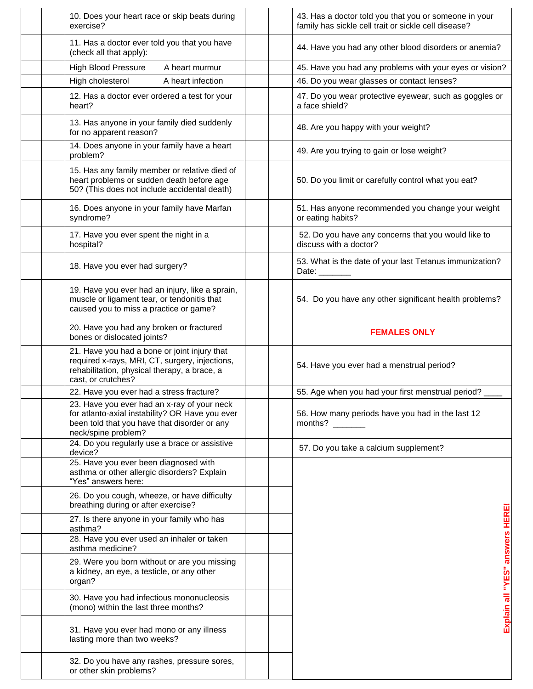| 10. Does your heart race or skip beats during<br>exercise?                                                                                                            | 43. Has a doctor told you that you or someone in your<br>family has sickle cell trait or sickle cell disease?                   |
|-----------------------------------------------------------------------------------------------------------------------------------------------------------------------|---------------------------------------------------------------------------------------------------------------------------------|
| 11. Has a doctor ever told you that you have<br>(check all that apply):                                                                                               | 44. Have you had any other blood disorders or anemia?                                                                           |
| <b>High Blood Pressure</b><br>A heart murmur                                                                                                                          | 45. Have you had any problems with your eyes or vision?                                                                         |
| High cholesterol<br>A heart infection                                                                                                                                 | 46. Do you wear glasses or contact lenses?                                                                                      |
| 12. Has a doctor ever ordered a test for your<br>heart?                                                                                                               | 47. Do you wear protective eyewear, such as goggles or<br>a face shield?                                                        |
| 13. Has anyone in your family died suddenly<br>for no apparent reason?                                                                                                | 48. Are you happy with your weight?                                                                                             |
| 14. Does anyone in your family have a heart<br>problem?                                                                                                               | 49. Are you trying to gain or lose weight?                                                                                      |
| 15. Has any family member or relative died of<br>heart problems or sudden death before age<br>50? (This does not include accidental death)                            | 50. Do you limit or carefully control what you eat?                                                                             |
| 16. Does anyone in your family have Marfan<br>syndrome?                                                                                                               | 51. Has anyone recommended you change your weight<br>or eating habits?                                                          |
| 17. Have you ever spent the night in a<br>hospital?                                                                                                                   | 52. Do you have any concerns that you would like to<br>discuss with a doctor?                                                   |
| 18. Have you ever had surgery?                                                                                                                                        | 53. What is the date of your last Tetanus immunization?<br>Date: _______                                                        |
| 19. Have you ever had an injury, like a sprain,<br>muscle or ligament tear, or tendonitis that<br>caused you to miss a practice or game?                              | 54. Do you have any other significant health problems?                                                                          |
| 20. Have you had any broken or fractured<br>bones or dislocated joints?                                                                                               | <b>FEMALES ONLY</b>                                                                                                             |
| 21. Have you had a bone or joint injury that<br>required x-rays, MRI, CT, surgery, injections,<br>rehabilitation, physical therapy, a brace, a<br>cast, or crutches?  | 54. Have you ever had a menstrual period?                                                                                       |
| 22. Have you ever had a stress fracture?                                                                                                                              | 55. Age when you had your first menstrual period?                                                                               |
| 23. Have you ever had an x-ray of your neck<br>for atlanto-axial instability? OR Have you ever<br>been told that you have that disorder or any<br>neck/spine problem? | 56. How many periods have you had in the last 12<br>months? $\frac{1}{\sqrt{1-\frac{1}{2}}\cdot\frac{1}{\sqrt{1-\frac{1}{2}}}}$ |
| 24. Do you regularly use a brace or assistive<br>device?                                                                                                              | 57. Do you take a calcium supplement?                                                                                           |
| 25. Have you ever been diagnosed with<br>asthma or other allergic disorders? Explain<br>"Yes" answers here:                                                           |                                                                                                                                 |
| 26. Do you cough, wheeze, or have difficulty<br>breathing during or after exercise?                                                                                   |                                                                                                                                 |
| 27. Is there anyone in your family who has<br>asthma?                                                                                                                 |                                                                                                                                 |
| 28. Have you ever used an inhaler or taken<br>asthma medicine?                                                                                                        |                                                                                                                                 |
| 29. Were you born without or are you missing<br>a kidney, an eye, a testicle, or any other<br>organ?                                                                  | Explain all "YES" answers HERE!                                                                                                 |
| 30. Have you had infectious mononucleosis<br>(mono) within the last three months?                                                                                     |                                                                                                                                 |
| 31. Have you ever had mono or any illness<br>lasting more than two weeks?                                                                                             |                                                                                                                                 |
| 32. Do you have any rashes, pressure sores,<br>or other skin problems?                                                                                                |                                                                                                                                 |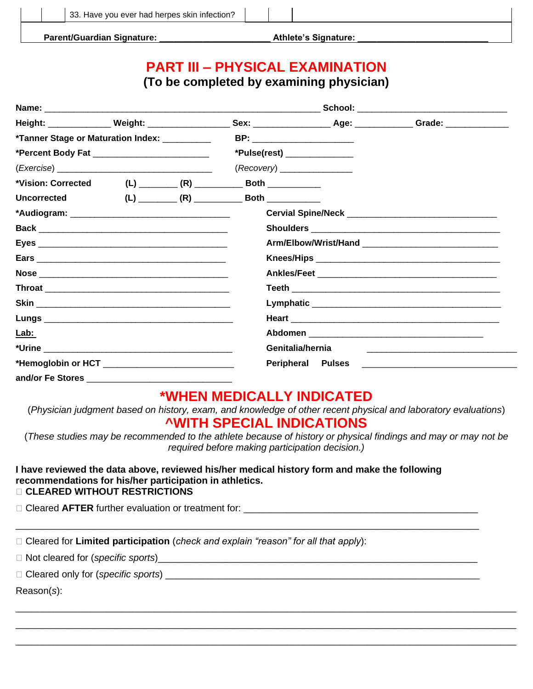**Parent/Guardian Signature: \_\_\_\_\_\_\_\_\_\_\_\_\_\_\_\_\_\_\_\_\_\_\_ Athlete's Signature: \_\_\_\_\_\_\_\_\_\_\_\_\_\_\_\_\_\_\_\_\_\_\_\_\_\_\_**

# **PART III – PHYSICAL EXAMINATION**

**(To be completed by examining physician)** 

|                                                                |  |  |                              |                          | _School: __________________________________                                                                                 |
|----------------------------------------------------------------|--|--|------------------------------|--------------------------|-----------------------------------------------------------------------------------------------------------------------------|
|                                                                |  |  |                              |                          | Height: ________________ Weight: _____________________ Sex: _____________________ Age: _____________ Grade: _______________ |
| *Tanner Stage or Maturation Index: ___________                 |  |  | BP: ________________________ |                          |                                                                                                                             |
| *Percent Body Fat _____________________________                |  |  | *Pulse(rest) _______________ |                          |                                                                                                                             |
|                                                                |  |  | (Recovery)                   |                          |                                                                                                                             |
| *Vision: Corrected (L) ________ (R) __________ Both __________ |  |  |                              |                          |                                                                                                                             |
| <b>Uncorrected</b>                                             |  |  |                              |                          |                                                                                                                             |
|                                                                |  |  |                              |                          |                                                                                                                             |
|                                                                |  |  |                              |                          |                                                                                                                             |
|                                                                |  |  |                              |                          |                                                                                                                             |
|                                                                |  |  |                              |                          |                                                                                                                             |
|                                                                |  |  |                              |                          |                                                                                                                             |
|                                                                |  |  |                              |                          |                                                                                                                             |
|                                                                |  |  |                              |                          |                                                                                                                             |
|                                                                |  |  |                              |                          |                                                                                                                             |
| Lab:                                                           |  |  |                              |                          |                                                                                                                             |
|                                                                |  |  |                              | Genitalia/hernia         | <u> 1980 - Jan Barnett, fransk politik (d. 1980)</u>                                                                        |
|                                                                |  |  |                              | <b>Peripheral Pulses</b> |                                                                                                                             |
| and/or Fe Stores                                               |  |  |                              |                          |                                                                                                                             |

#### **\*WHEN MEDICALLY INDICATED**

(*Physician judgment based on history, exam, and knowledge of other recent physical and laboratory evaluations*) **^WITH SPECIAL INDICATIONS**

(*These studies may be recommended to the athlete because of history or physical findings and may or may not be required before making participation decision.)*

\_\_\_\_\_\_\_\_\_\_\_\_\_\_\_\_\_\_\_\_\_\_\_\_\_\_\_\_\_\_\_\_\_\_\_\_\_\_\_\_\_\_\_\_\_\_\_\_\_\_\_\_\_\_\_\_\_\_\_\_\_\_\_\_\_\_\_\_\_\_\_\_\_\_\_\_\_\_\_\_\_\_\_\_\_\_\_\_\_\_\_\_\_\_ \_\_\_\_\_\_\_\_\_\_\_\_\_\_\_\_\_\_\_\_\_\_\_\_\_\_\_\_\_\_\_\_\_\_\_\_\_\_\_\_\_\_\_\_\_\_\_\_\_\_\_\_\_\_\_\_\_\_\_\_\_\_\_\_\_\_\_\_\_\_\_\_\_\_\_\_\_\_\_\_\_\_\_\_\_\_\_\_\_\_\_\_\_\_ \_\_\_\_\_\_\_\_\_\_\_\_\_\_\_\_\_\_\_\_\_\_\_\_\_\_\_\_\_\_\_\_\_\_\_\_\_\_\_\_\_\_\_\_\_\_\_\_\_\_\_\_\_\_\_\_\_\_\_\_\_\_\_\_\_\_\_\_\_\_\_\_\_\_\_\_\_\_\_\_\_\_\_\_\_\_\_\_\_\_\_\_\_\_

#### **I have reviewed the data above, reviewed his/her medical history form and make the following recommendations for his/her participation in athletics. CLEARED WITHOUT RESTRICTIONS**

\_\_\_\_\_\_\_\_\_\_\_\_\_\_\_\_\_\_\_\_\_\_\_\_\_\_\_\_\_\_\_\_\_\_\_\_\_\_\_\_\_\_\_\_\_\_\_\_\_\_\_\_\_\_\_\_\_\_\_\_\_\_\_\_\_\_\_\_\_\_\_\_\_\_\_\_\_\_\_\_\_\_\_\_\_\_\_

 $\square$  Cleared AFTER further evaluation or treatment for:

□ Cleared for **Limited participation** (*check and explain "reason" for all that apply*):

Not cleared for (*specific sports*)\_\_\_\_\_\_\_\_\_\_\_\_\_\_\_\_\_\_\_\_\_\_\_\_\_\_\_\_\_\_\_\_\_\_\_\_\_\_\_\_\_\_\_\_\_\_\_\_\_\_\_\_\_\_\_\_\_\_\_\_

Cleared only for (*specific sports*) \_\_\_\_\_\_\_\_\_\_\_\_\_\_\_\_\_\_\_\_\_\_\_\_\_\_\_\_\_\_\_\_\_\_\_\_\_\_\_\_\_\_\_\_\_\_\_\_\_\_\_\_\_\_\_\_\_\_\_

Reason(*s*):